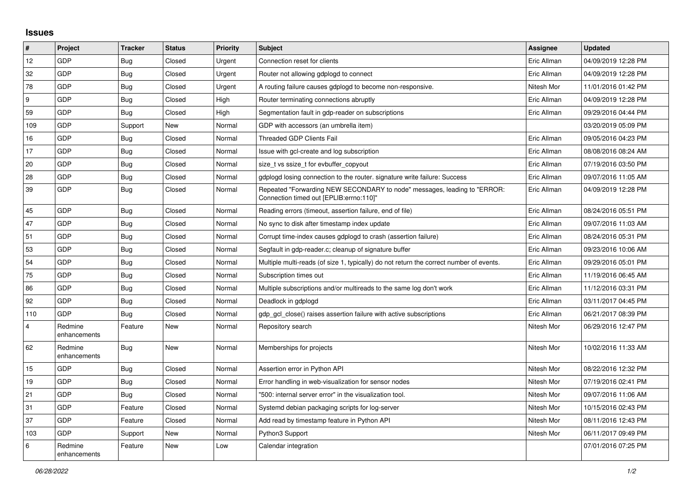## **Issues**

| $\vert$ # | Project                 | <b>Tracker</b> | <b>Status</b> | <b>Priority</b> | <b>Subject</b>                                                                                                      | <b>Assignee</b> | <b>Updated</b>      |
|-----------|-------------------------|----------------|---------------|-----------------|---------------------------------------------------------------------------------------------------------------------|-----------------|---------------------|
| 12        | GDP                     | <b>Bug</b>     | Closed        | Urgent          | Connection reset for clients                                                                                        | Eric Allman     | 04/09/2019 12:28 PM |
| 32        | GDP                     | Bug            | Closed        | Urgent          | Router not allowing gdplogd to connect                                                                              | Eric Allman     | 04/09/2019 12:28 PM |
| 78        | <b>GDP</b>              | Bug            | Closed        | Urgent          | A routing failure causes gdplogd to become non-responsive.                                                          | Nitesh Mor      | 11/01/2016 01:42 PM |
| 9         | GDP                     | Bug            | Closed        | High            | Router terminating connections abruptly                                                                             | Eric Allman     | 04/09/2019 12:28 PM |
| 59        | GDP                     | Bug            | Closed        | High            | Segmentation fault in gdp-reader on subscriptions                                                                   | Eric Allman     | 09/29/2016 04:44 PM |
| 109       | GDP                     | Support        | New           | Normal          | GDP with accessors (an umbrella item)                                                                               |                 | 03/20/2019 05:09 PM |
| 16        | <b>GDP</b>              | <b>Bug</b>     | Closed        | Normal          | <b>Threaded GDP Clients Fail</b>                                                                                    | Eric Allman     | 09/05/2016 04:23 PM |
| 17        | <b>GDP</b>              | <b>Bug</b>     | Closed        | Normal          | Issue with gcl-create and log subscription                                                                          | Eric Allman     | 08/08/2016 08:24 AM |
| 20        | GDP                     | <b>Bug</b>     | Closed        | Normal          | size_t vs ssize_t for evbuffer_copyout                                                                              | Eric Allman     | 07/19/2016 03:50 PM |
| 28        | <b>GDP</b>              | Bug            | Closed        | Normal          | gdplogd losing connection to the router, signature write failure: Success                                           | Eric Allman     | 09/07/2016 11:05 AM |
| 39        | GDP                     | Bug            | Closed        | Normal          | Repeated "Forwarding NEW SECONDARY to node" messages, leading to "ERROR:<br>Connection timed out [EPLIB:errno:110]" | Eric Allman     | 04/09/2019 12:28 PM |
| 45        | <b>GDP</b>              | Bug            | Closed        | Normal          | Reading errors (timeout, assertion failure, end of file)                                                            | Eric Allman     | 08/24/2016 05:51 PM |
| 47        | GDP                     | Bug            | Closed        | Normal          | No sync to disk after timestamp index update                                                                        | Eric Allman     | 09/07/2016 11:03 AM |
| 51        | GDP                     | <b>Bug</b>     | Closed        | Normal          | Corrupt time-index causes gdplogd to crash (assertion failure)                                                      | Eric Allman     | 08/24/2016 05:31 PM |
| 53        | <b>GDP</b>              | <b>Bug</b>     | Closed        | Normal          | Segfault in gdp-reader.c; cleanup of signature buffer                                                               | Eric Allman     | 09/23/2016 10:06 AM |
| 54        | GDP                     | <b>Bug</b>     | Closed        | Normal          | Multiple multi-reads (of size 1, typically) do not return the correct number of events.                             | Eric Allman     | 09/29/2016 05:01 PM |
| 75        | GDP                     | Bug            | Closed        | Normal          | Subscription times out                                                                                              | Eric Allman     | 11/19/2016 06:45 AM |
| 86        | <b>GDP</b>              | Bug            | Closed        | Normal          | Multiple subscriptions and/or multireads to the same log don't work                                                 | Eric Allman     | 11/12/2016 03:31 PM |
| 92        | GDP                     | Bug            | Closed        | Normal          | Deadlock in gdplogd                                                                                                 | Eric Allman     | 03/11/2017 04:45 PM |
| 110       | GDP                     | Bug            | Closed        | Normal          | gdp gcl close() raises assertion failure with active subscriptions                                                  | Eric Allman     | 06/21/2017 08:39 PM |
| 4         | Redmine<br>enhancements | Feature        | New           | Normal          | Repository search                                                                                                   | Nitesh Mor      | 06/29/2016 12:47 PM |
| 62        | Redmine<br>enhancements | Bug            | New           | Normal          | Memberships for projects                                                                                            | Nitesh Mor      | 10/02/2016 11:33 AM |
| 15        | GDP                     | <b>Bug</b>     | Closed        | Normal          | Assertion error in Python API                                                                                       | Nitesh Mor      | 08/22/2016 12:32 PM |
| 19        | GDP                     | Bug            | Closed        | Normal          | Error handling in web-visualization for sensor nodes                                                                | Nitesh Mor      | 07/19/2016 02:41 PM |
| 21        | <b>GDP</b>              | Bug            | Closed        | Normal          | "500: internal server error" in the visualization tool.                                                             | Nitesh Mor      | 09/07/2016 11:06 AM |
| 31        | GDP                     | Feature        | Closed        | Normal          | Systemd debian packaging scripts for log-server                                                                     | Nitesh Mor      | 10/15/2016 02:43 PM |
| 37        | GDP                     | Feature        | Closed        | Normal          | Add read by timestamp feature in Python API                                                                         | Nitesh Mor      | 08/11/2016 12:43 PM |
| 103       | <b>GDP</b>              | Support        | New           | Normal          | Python3 Support                                                                                                     | Nitesh Mor      | 06/11/2017 09:49 PM |
| 6         | Redmine<br>enhancements | Feature        | New           | Low             | Calendar integration                                                                                                |                 | 07/01/2016 07:25 PM |